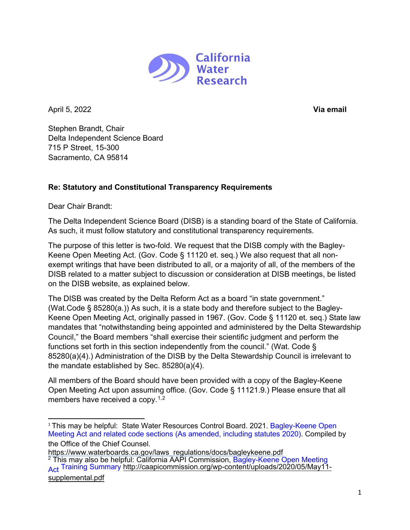

April 5, 2022 **Via email**

Stephen Brandt, Chair Delta Independent Science Board 715 P Street, 15-300 Sacramento, CA 95814

## **Re: Statutory and Constitutional Transparency Requirements**

Dear Chair Brandt:

The Delta Independent Science Board (DISB) is a standing board of the State of California. As such, it must follow statutory and constitutional transparency requirements.

The purpose of this letter is two-fold. We request that the DISB comply with the Bagley-Keene Open Meeting Act. (Gov. Code § 11120 et. seq.) We also request that all nonexempt writings that have been distributed to all, or a majority of all, of the members of the DISB related to a matter subject to discussion or consideration at DISB meetings, be listed on the DISB website, as explained below.

The DISB was created by the Delta Reform Act as a board "in state government." (Wat.Code § 85280(a.)) As such, it is a state body and therefore subject to the Bagley-Keene Open Meeting Act, originally passed in 1967. (Gov. Code § 11120 et. seq.) State law mandates that "notwithstanding being appointed and administered by the Delta Stewardship Council," the Board members "shall exercise their scientific judgment and perform the functions set forth in this section independently from the council." (Wat. Code § 85280(a)(4).) Administration of the DISB by the Delta Stewardship Council is irrelevant to the mandate established by Sec. 85280(a)(4).

All members of the Board should have been provided with a copy of the Bagley-Keene Open Meeting Act upon assuming office. (Gov. Code § 11121.9.) Please ensure that all members have received a copy.<sup>[1,](#page-0-0)[2](#page-0-1)</sup>

<span id="page-0-0"></span><sup>&</sup>lt;sup>1</sup> This may [be helpful: State Water Resources Control Board.](https://www.waterboards.ca.gov/laws_regulations/docs/bagleykeene.pdf) 2021. Bagley-Keene Open Meeting Act and related code sections (As amended, including statutes 2020). Compiled by the Office of the Chief Counsel.

<span id="page-0-1"></span>[https://www.waterboards.ca.gov/laws\\_regulations/docs/bagleykeene.pdf](https://www.waterboards.ca.gov/laws_regulations/docs/bagleykeene.pdf) <sup>2</sup> This may also be helpful: California AAPI Commission, Bagley-Keene Open Meeting Act Training Summary [http://caapicommission.org/wp-content/uploads/2020/05/May11](http://caapicommission.org/wp-content/uploads/2020/05/May11-supplemental.pdf)supplemental.pdf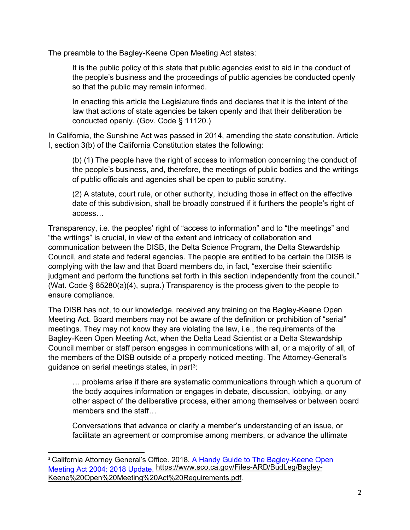The preamble to the Bagley-Keene Open Meeting Act states:

It is the public policy of this state that public agencies exist to aid in the conduct of the people's business and the proceedings of public agencies be conducted openly so that the public may remain informed.

In enacting this article the Legislature finds and declares that it is the intent of the law that actions of state agencies be taken openly and that their deliberation be conducted openly. (Gov. Code § 11120.)

In California, the Sunshine Act was passed in 2014, amending the state constitution. Article I, section 3(b) of the California Constitution states the following:

(b) (1) The people have the right of access to information concerning the conduct of the people's business, and, therefore, the meetings of public bodies and the writings of public officials and agencies shall be open to public scrutiny.

(2) A statute, court rule, or other authority, including those in effect on the effective date of this subdivision, shall be broadly construed if it furthers the people's right of access…

Transparency, i.e. the peoples' right of "access to information" and to "the meetings" and "the writings" is crucial, in view of the extent and intricacy of collaboration and communication between the DISB, the Delta Science Program, the Delta Stewardship Council, and state and federal agencies. The people are entitled to be certain the DISB is complying with the law and that Board members do, in fact, "exercise their scientific judgment and perform the functions set forth in this section independently from the council." (Wat. Code § 85280(a)(4), supra.) Transparency is the process given to the people to ensure compliance.

The DISB has not, to our knowledge, received any training on the Bagley-Keene Open Meeting Act. Board members may not be aware of the definition or prohibition of "serial" meetings. They may not know they are violating the law, i.e., the requirements of the Bagley-Keen Open Meeting Act, when the Delta Lead Scientist or a Delta Stewardship Council member or staff person engages in communications with all, or a majority of all, of the members of the DISB outside of a properly noticed meeting. The Attorney-General's guidance on serial meetings states, in part<sup>[3](#page-1-0)</sup>:

… problems arise if there are systematic communications through which a quorum of the body acquires information or engages in debate, discussion, lobbying, or any other aspect of the deliberative process, either among themselves or between board members and the staff…

Conversations that advance or clarify a member's understanding of an issue, or facilitate an agreement or compromise among members, or advance the ultimate

<span id="page-1-0"></span><sup>&</sup>lt;sup>3</sup> California Attorney General's Office. 2018. A Handy Guide to The Bagley-Keene Open Meeting Act 2004: 2018 Update. [https://www.sco.ca.gov/Files-ARD/BudLeg/Bagley-](https://www.sco.ca.gov/Files-ARD/BudLeg/Bagley-Keene%20Open%20Meeting%20Act%20Requirements.pdf)Keene%20Open%20Meeting%20Act%20Requirements.pdf.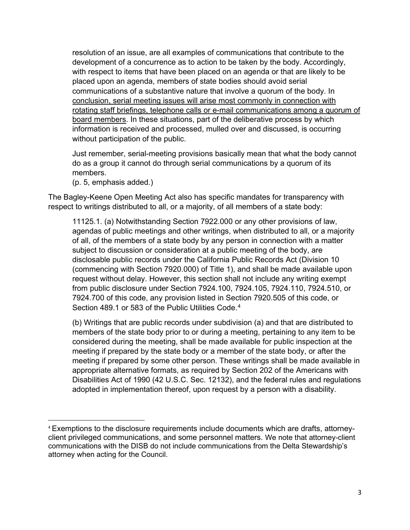resolution of an issue, are all examples of communications that contribute to the development of a concurrence as to action to be taken by the body. Accordingly, with respect to items that have been placed on an agenda or that are likely to be placed upon an agenda, members of state bodies should avoid serial communications of a substantive nature that involve a quorum of the body. In conclusion, serial meeting issues will arise most commonly in connection with rotating staff briefings, telephone calls or e-mail communications among a quorum of board members. In these situations, part of the deliberative process by which information is received and processed, mulled over and discussed, is occurring without participation of the public.

Just remember, serial-meeting provisions basically mean that what the body cannot do as a group it cannot do through serial communications by a quorum of its members.

(p. 5, emphasis added.)

The Bagley-Keene Open Meeting Act also has specific mandates for transparency with respect to writings distributed to all, or a majority, of all members of a state body:

11125.1. (a) Notwithstanding Section 7922.000 or any other provisions of law, agendas of public meetings and other writings, when distributed to all, or a majority of all, of the members of a state body by any person in connection with a matter subject to discussion or consideration at a public meeting of the body, are disclosable public records under the California Public Records Act (Division 10 (commencing with Section 7920.000) of Title 1), and shall be made available upon request without delay. However, this section shall not include any writing exempt from public disclosure under Section 7924.100, 7924.105, 7924.110, 7924.510, or 7924.700 of this code, any provision listed in Section 7920.505 of this code, or Section [4](#page-2-0)89.1 or 583 of the Public Utilities Code.<sup>4</sup>

(b) Writings that are public records under subdivision (a) and that are distributed to members of the state body prior to or during a meeting, pertaining to any item to be considered during the meeting, shall be made available for public inspection at the meeting if prepared by the state body or a member of the state body, or after the meeting if prepared by some other person. These writings shall be made available in appropriate alternative formats, as required by Section 202 of the Americans with Disabilities Act of 1990 (42 U.S.C. Sec. 12132), and the federal rules and regulations adopted in implementation thereof, upon request by a person with a disability.

<span id="page-2-0"></span><sup>4</sup> Exemptions to the disclosure requirements include documents which are drafts, attorneyclient privileged communications, and some personnel matters. We note that attorney-client communications with the DISB do not include communications from the Delta Stewardship's attorney when acting for the Council.